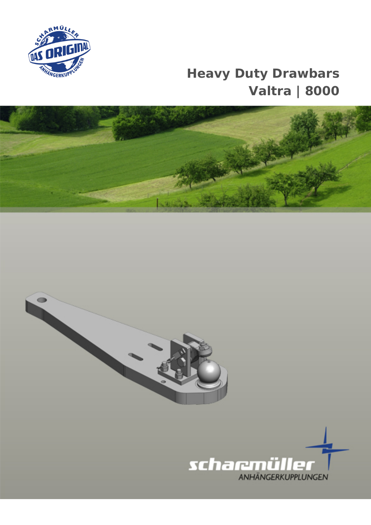

## **Heavy Duty Drawbars Valtra | 8000**